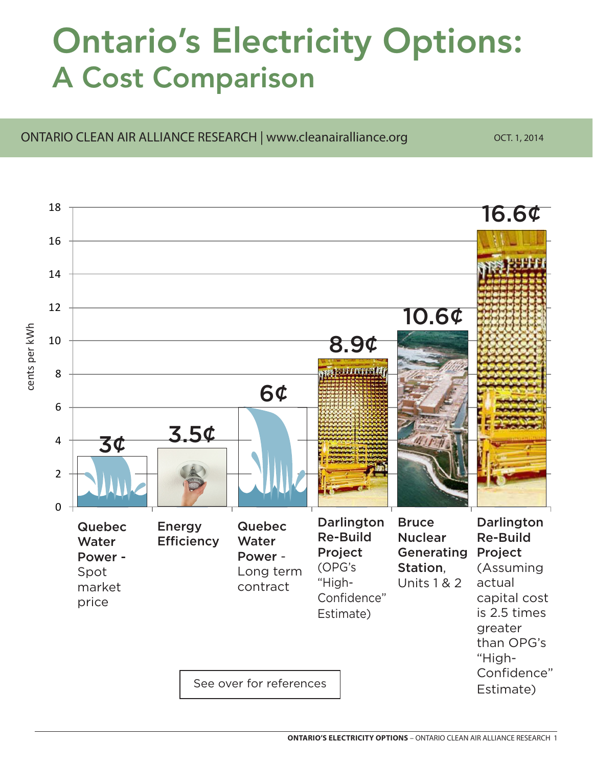## Ontario's Electricity Options: A Cost Comparison

## ONTARIO CLEAN AIR ALLIANCE RESEARCH | www.cleanairalliance.org 0CT. 1, 2014